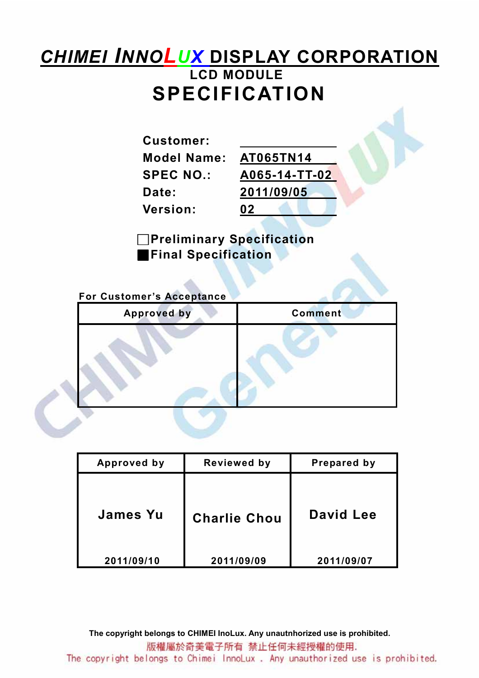# CHIMEI INNOLUX DISPLAY CORPORATION LCD MODULE SPECIFICATION

Customer: Model Name: AT065TN14 Date: 2011/09/05 Version: 02

SPEC NO.: A065-14-TT-02

□Preliminary Specification **Final Specification** 

For Customer's Acceptance

| <b>Approved by</b> | <b>Comment</b> |
|--------------------|----------------|
|                    |                |

| Approved by     | <b>Reviewed by</b>  | Prepared by |
|-----------------|---------------------|-------------|
| <b>James Yu</b> | <b>Charlie Chou</b> | David Lee   |
| 2011/09/10      | 2011/09/09          | 2011/09/07  |

The copyright belongs to CHIMEI InoLux. Any unautnhorized use is prohibited. 版權屬於奇美電子所有 禁止任何未經授權的使用. The copyright belongs to Chimei InnoLux. Any unauthorized use is prohibited.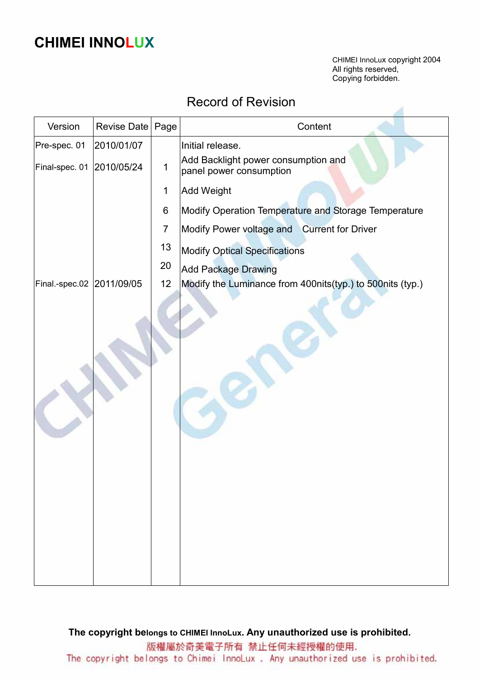# CHIMEI INNOLUX

CHIMEI InnoLux copyright 2004 All rights reserved, Copying forbidden.

#### Record of Revision

| Version                   | <b>Revise Date</b> | Page           | Content                                                        |
|---------------------------|--------------------|----------------|----------------------------------------------------------------|
| Pre-spec. 01              | 2010/01/07         |                | Initial release.                                               |
| Final-spec. 01            | 2010/05/24         | $\mathbf 1$    | Add Backlight power consumption and<br>panel power consumption |
|                           |                    | $\mathbf 1$    | <b>Add Weight</b>                                              |
|                           |                    | 6              | Modify Operation Temperature and Storage Temperature           |
|                           |                    | $\overline{7}$ | Modify Power voltage and Current for Driver                    |
|                           |                    | 13             | <b>Modify Optical Specifications</b>                           |
|                           |                    | 20             | <b>Add Package Drawing</b>                                     |
| Final.-spec.02 2011/09/05 |                    | 12             | Modify the Luminance from 400nits(typ.) to 500nits (typ.)      |
|                           |                    |                |                                                                |

The copyright belongs to CHIMEI InnoLux. Any unauthorized use is prohibited. 版權屬於奇美電子所有 禁止任何未經授權的使用. The copyright belongs to Chimei InnoLux. Any unauthorized use is prohibited.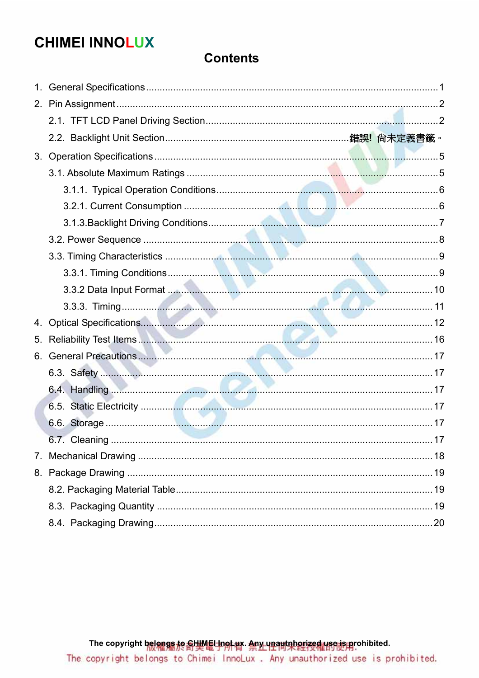# **CHIMEI INNOLUX**

#### **Contents**

| 1. |               |     |
|----|---------------|-----|
|    |               |     |
|    |               |     |
|    |               |     |
|    |               |     |
|    |               |     |
|    |               |     |
|    |               |     |
|    |               |     |
|    |               |     |
|    |               |     |
|    |               |     |
|    |               |     |
|    |               |     |
|    |               |     |
| 5. |               |     |
|    |               |     |
|    |               |     |
|    |               |     |
|    |               |     |
|    |               |     |
|    | 6.7. Cleaning | .17 |
|    |               |     |
|    |               |     |
|    |               |     |
|    |               |     |
|    |               |     |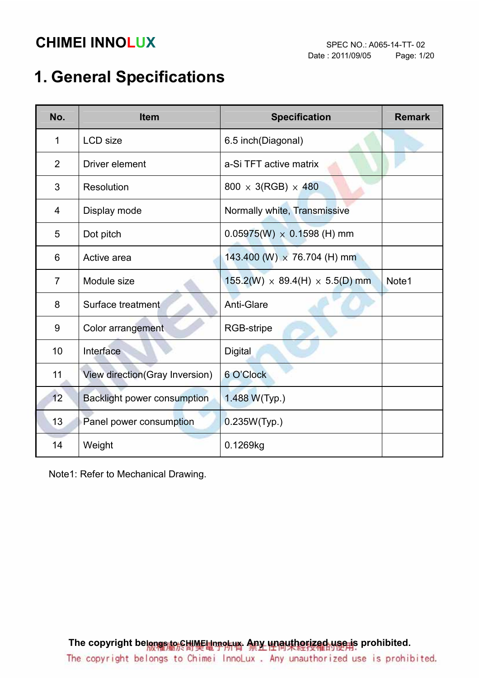# 1. General Specifications

| No.            | <b>Item</b>                        | <b>Specification</b>                       | <b>Remark</b> |
|----------------|------------------------------------|--------------------------------------------|---------------|
| $\mathbf{1}$   | <b>LCD</b> size                    | 6.5 inch(Diagonal)                         |               |
| $\overline{2}$ | Driver element                     | a-Si TFT active matrix                     |               |
| 3              | <b>Resolution</b>                  | $800 \times 3(RGB) \times 480$             |               |
| 4              | Display mode                       | Normally white, Transmissive               |               |
| 5              | Dot pitch                          | $0.05975(W) \times 0.1598$ (H) mm          |               |
| 6              | Active area                        | 143.400 (W) $\times$ 76.704 (H) mm         |               |
| $\overline{7}$ | Module size                        | $155.2(W) \times 89.4(H) \times 5.5(D)$ mm | Note1         |
| 8              | Surface treatment                  | Anti-Glare                                 |               |
| 9              | Color arrangement                  | RGB-stripe                                 |               |
| 10             | Interface                          | <b>Digital</b>                             |               |
| 11             | View direction(Gray Inversion)     | 6 O'Clock                                  |               |
| 12             | <b>Backlight power consumption</b> | 1.488 W(Typ.)                              |               |
| 13             | Panel power consumption            | 0.235W(Typ.)                               |               |
| 14             | Weight                             | 0.1269kg                                   |               |

Note1: Refer to Mechanical Drawing.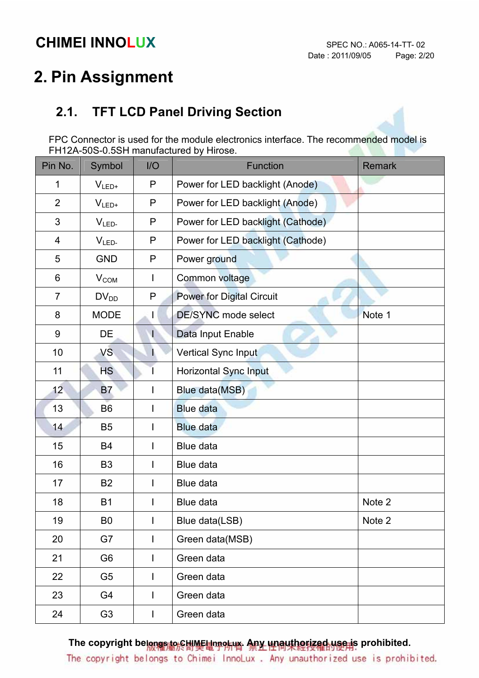# 2. Pin Assignment

### 2.1. TFT LCD Panel Driving Section

FPC Connector is used for the module electronics interface. The recommended model is FH12A-50S-0.5SH manufactured by Hirose.

| Pin No.        | Symbol         | I/O            | <b>Function</b>                   | <b>Remark</b> |
|----------------|----------------|----------------|-----------------------------------|---------------|
| 1              | $V_{LED+}$     | P              | Power for LED backlight (Anode)   |               |
| $\overline{2}$ | $V_{LED+}$     | P              | Power for LED backlight (Anode)   |               |
| 3              | $VLED-$        | P              | Power for LED backlight (Cathode) |               |
| 4              | $VLED-$        | P              | Power for LED backlight (Cathode) |               |
| 5              | <b>GND</b>     | P              | Power ground                      |               |
| 6              | $V_{COM}$      | $\mathbf{I}$   | Common voltage                    |               |
| $\overline{7}$ | $DV_{DD}$      | P              | <b>Power for Digital Circuit</b>  |               |
| 8              | <b>MODE</b>    | L              | DE/SYNC mode select               | Note 1        |
| 9              | DE             | $\mathsf{I}$   | Data Input Enable                 |               |
| 10             | VS.            |                | Vertical Sync Input               |               |
| 11             | <b>HS</b>      |                | <b>Horizontal Sync Input</b>      |               |
| 12             | <b>B7</b>      |                | Blue data(MSB)                    |               |
| 13             | B <sub>6</sub> |                | <b>Blue data</b>                  |               |
| 14             | <b>B5</b>      | $\mathsf{I}$   | <b>Blue data</b>                  |               |
| 15             | <b>B4</b>      | $\mathbf{I}$   | <b>Blue data</b>                  |               |
| 16             | <b>B3</b>      | $\overline{1}$ | Blue data                         |               |
| 17             | <b>B2</b>      | $\mathsf{I}$   | Blue data                         |               |
| 18             | <b>B1</b>      |                | Blue data                         | Note 2        |
| 19             | B0             |                | Blue data(LSB)                    | Note 2        |
| 20             | G7             |                | Green data(MSB)                   |               |
| 21             | G <sub>6</sub> | $\mathsf{I}$   | Green data                        |               |
| 22             | G <sub>5</sub> | $\mathsf{I}$   | Green data                        |               |
| 23             | G4             | $\mathsf{I}$   | Green data                        |               |
| 24             | G <sub>3</sub> | $\mathsf{I}$   | Green data                        |               |

The copyright belongs to CHIME InnoLux. Any unauthorized use is prohibited.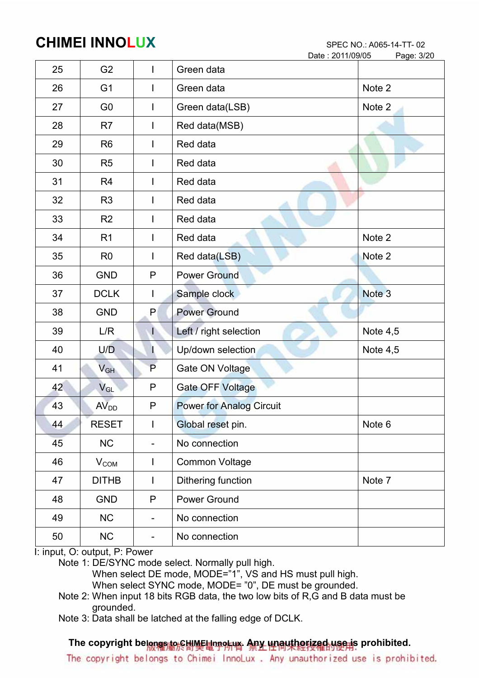|    |                        |                | Date: 2011/09/05                | Page: 3/20 |
|----|------------------------|----------------|---------------------------------|------------|
| 25 | G <sub>2</sub>         |                | Green data                      |            |
| 26 | G <sub>1</sub>         | $\mathbf{I}$   | Green data                      | Note 2     |
| 27 | G <sub>0</sub>         | $\mathbf{I}$   | Green data(LSB)                 | Note 2     |
| 28 | R <sub>7</sub>         |                | Red data(MSB)                   |            |
| 29 | R <sub>6</sub>         |                | Red data                        |            |
| 30 | R <sub>5</sub>         | $\mathbf{I}$   | Red data                        |            |
| 31 | R <sub>4</sub>         |                | Red data                        |            |
| 32 | R <sub>3</sub>         |                | Red data                        |            |
| 33 | R <sub>2</sub>         | I.             | Red data                        |            |
| 34 | R <sub>1</sub>         | $\mathbf{I}$   | Red data                        | Note 2     |
| 35 | R <sub>0</sub>         |                | Red data(LSB)                   | Note 2     |
| 36 | <b>GND</b>             | P              | <b>Power Ground</b>             |            |
| 37 | <b>DCLK</b>            | I.             | Sample clock                    | Note 3     |
| 38 | <b>GND</b>             | P              | <b>Power Ground</b>             |            |
| 39 | L/R                    | P.             | Left / right selection          | Note $4,5$ |
| 40 | U/D                    | I.             | Up/down selection               | Note $4,5$ |
| 41 | $V_{GH}$               | P              | Gate ON Voltage                 |            |
| 42 | $V_{GL}$               | P              | Gate OFF Voltage                |            |
| 43 | AV <sub>DD</sub>       | $\mathsf{P}$   | <b>Power for Analog Circuit</b> |            |
| 44 | <b>RESET</b>           |                | Global reset pin.               | Note 6     |
| 45 | <b>NC</b>              |                | No connection                   |            |
| 46 | <b>V<sub>COM</sub></b> | $\mathsf{I}$   | <b>Common Voltage</b>           |            |
| 47 | <b>DITHB</b>           | $\mathsf{I}$   | Dithering function              | Note 7     |
| 48 | <b>GND</b>             | P              | Power Ground                    |            |
| 49 | NC                     | $\blacksquare$ | No connection                   |            |
| 50 | NC                     | -              | No connection                   |            |

I: input, O: output, P: Power

Note 1: DE/SYNC mode select. Normally pull high.

When select DE mode, MODE="1", VS and HS must pull high.

When select SYNC mode, MODE= "0", DE must be grounded.

- Note 2: When input 18 bits RGB data, the two low bits of R,G and B data must be grounded.
- Note 3: Data shall be latched at the falling edge of DCLK.

#### The copyright belongs to CHIME InnoLux. Any unauthorized use is prohibited.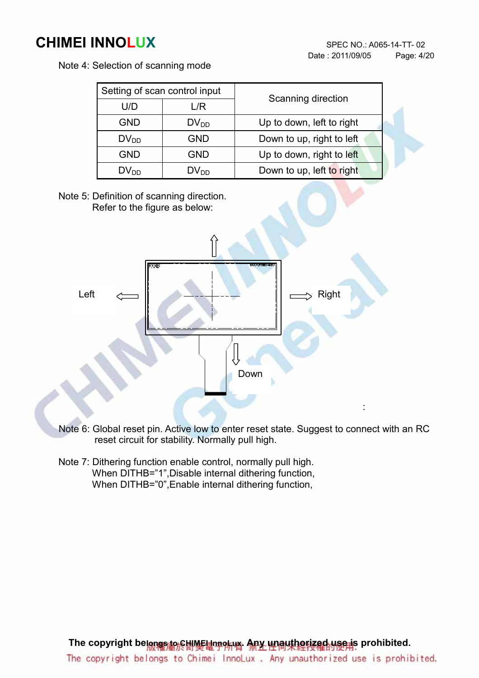Note 4: Selection of scanning mode

| Setting of scan control input |                  | Scanning direction        |  |
|-------------------------------|------------------|---------------------------|--|
| U/D<br>L/R                    |                  |                           |  |
| <b>GND</b>                    | $DV_{DD}$        | Up to down, left to right |  |
| $DV_{DD}$                     | <b>GND</b>       | Down to up, right to left |  |
| <b>GND</b>                    | <b>GND</b>       | Up to down, right to left |  |
| $DV_{DD}$                     | DV <sub>DD</sub> | Down to up, left to right |  |

Note 5: Definition of scanning direction. Refer to the figure as below:



- Note 6: Global reset pin. Active low to enter reset state. Suggest to connect with an RC reset circuit for stability. Normally pull high.
- Note 7: Dithering function enable control, normally pull high. When DITHB="1", Disable internal dithering function, When DITHB="0", Enable internal dithering function,

The copyright belongs to CHIME InnoLux. Any unauthorized use is prohibited. The copyright belongs to Chimei InnoLux. Any unauthorized use is prohibited.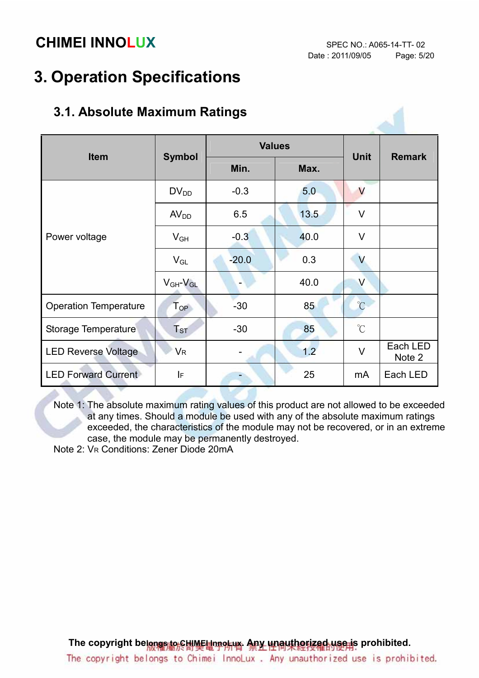# 3. Operation Specifications

| 3.1. Absolute Maximum Ratings |                     |               |             |                         |                    |
|-------------------------------|---------------------|---------------|-------------|-------------------------|--------------------|
| <b>Item</b>                   | <b>Symbol</b>       | <b>Values</b> | <b>Unit</b> |                         |                    |
|                               |                     | Min.          | Max.        |                         | <b>Remark</b>      |
|                               | $DV_{DD}$           | $-0.3$        | 5.0         | V                       |                    |
| Power voltage                 | AV <sub>DD</sub>    | 6.5           | 13.5        | $\vee$                  |                    |
|                               | $V_{GH}$            | $-0.3$        | 40.0        | $\vee$                  |                    |
|                               | $V_{GL}$            | $-20.0$       | 0.3         | $\overline{\mathsf{V}}$ |                    |
|                               | $V_{GH}$ - $V_{GL}$ |               | 40.0        | V                       |                    |
| <b>Operation Temperature</b>  | $T_{OP}$            | $-30$         | 85          | $\overline{C}$          |                    |
| <b>Storage Temperature</b>    | $T_{ST}$            | $-30$         | 85          | $^{\circ}$ C            |                    |
| <b>LED Reverse Voltage</b>    | VR                  |               | 1.2         | $\vee$                  | Each LED<br>Note 2 |
| <b>LED Forward Current</b>    | IF                  |               | 25          | mA                      | Each LED           |

#### 3.1. Absolute Maximum Ratings

Note 1: The absolute maximum rating values of this product are not allowed to be exceeded at any times. Should a module be used with any of the absolute maximum ratings exceeded, the characteristics of the module may not be recovered, or in an extreme case, the module may be permanently destroyed.

Note 2: VR Conditions: Zener Diode 20mA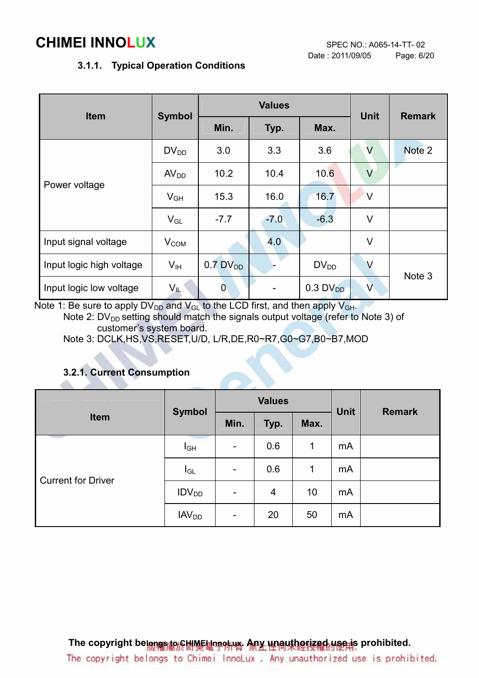#### 3.1.1. Typical Operation Conditions

|                          |                  |                        | <b>Values</b> | <b>Unit</b>            |                         |               |
|--------------------------|------------------|------------------------|---------------|------------------------|-------------------------|---------------|
| <b>Item</b>              | <b>Symbol</b>    | Min.                   | Typ.          |                        |                         | <b>Remark</b> |
|                          | $DV_{DD}$        | 3.0                    | 3.3           | 3.6                    | V                       | Note 2        |
| Power voltage            | AV <sub>DD</sub> | 10.2                   | 10.4          | 10.6                   | $\vee$                  |               |
|                          | $V_{GH}$         | 15.3                   | 16.0          | 16.7                   | $\vee$                  |               |
|                          | $V_{GL}$         | $-7.7$                 | $-7.0$        | $-6.3$                 | V                       |               |
| Input signal voltage     | $V_{COM}$        |                        | 4.0           |                        | $\vee$                  |               |
| Input logic high voltage | $V_{\text{IH}}$  | $0.7$ DV <sub>DD</sub> |               | $DV_{DD}$              | V                       |               |
| Input logic low voltage  | $V_{IL}$         | $\overline{0}$         |               | $0.3$ DV <sub>DD</sub> | $\overline{\mathsf{V}}$ | Note 3        |

Note 1: Be sure to apply  $DV_{DD}$  and  $V_{GL}$  to the LCD first, and then apply  $V_{GH}$ . Note 2:  $DV_{DD}$  setting should match the signals output voltage (refer to Note 3) of customer's system board.

Note 3: DCLK,HS,VS,RESET,U/D, L/R,DE,R0~R7,G0~G7,B0~B7,MOD

#### 3.2.1. Current Consumption

alla c

|                           | <b>Symbol</b>           |                          | <b>Values</b> |      | <b>Unit</b> | <b>Remark</b> |
|---------------------------|-------------------------|--------------------------|---------------|------|-------------|---------------|
| Item                      |                         | Min.                     | Typ.          | Max. |             |               |
|                           | $I_{GH}$                | $\overline{\phantom{a}}$ | 0.6           | 1    | mA          |               |
| <b>Current for Driver</b> | $I_{GL}$                | $\overline{\phantom{0}}$ | 0.6           | 1    | mA          |               |
|                           | IDV <sub>DD</sub>       | $\overline{\phantom{a}}$ | 4             | 10   | mA          |               |
|                           | <b>IAV<sub>DD</sub></b> | -                        | 20            | 50   | mA          |               |

The copyright belongs to CHIME InnoLux. Any unauthorized use is prohibited. The copyright belongs to Chimei InnoLux. Any unauthorized use is prohibited.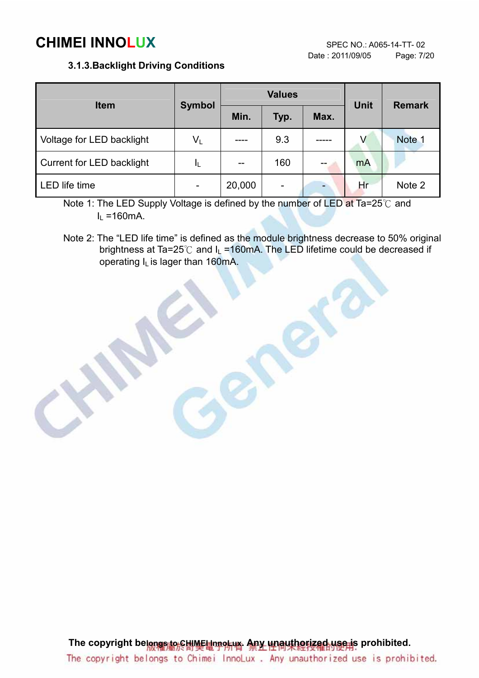#### 3.1.3.Backlight Driving Conditions

|                           |                         |        | <b>Values</b>            | <b>Unit</b> | <b>Remark</b> |        |
|---------------------------|-------------------------|--------|--------------------------|-------------|---------------|--------|
| <b>Item</b>               | <b>Symbol</b>           | Min.   | Typ.                     | Max.        |               |        |
| Voltage for LED backlight | $\mathsf{V}_\mathsf{L}$ |        | 9.3                      |             | V             | Note 1 |
| Current for LED backlight | IL                      |        | 160                      |             | mA            |        |
| <b>LED</b> life time      |                         | 20,000 | $\overline{\phantom{0}}$ |             | Нr            | Note 2 |

Note 1: The LED Supply Voltage is defined by the number of LED at Ta=25°C and  $I<sub>L</sub>$  =160mA.

Note 2: The "LED life time" is defined as the module brightness decrease to 50% original brightness at Ta=25°C and  $I_L$  =160mA. The LED lifetime could be decreased if operating IL is lager than 160mA.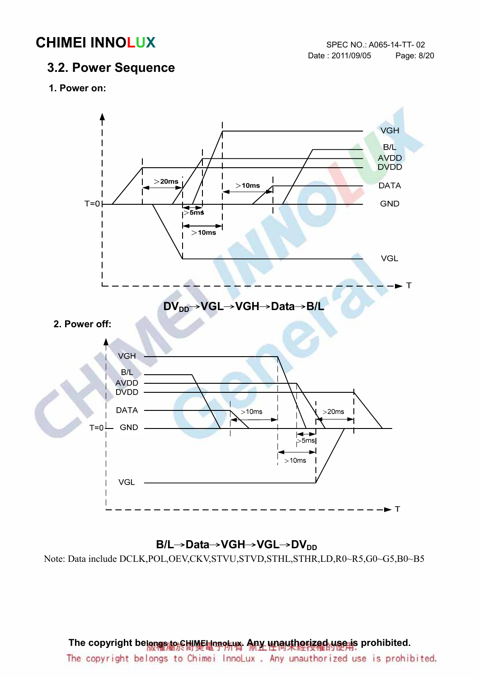#### 3.2. Power Sequence

1. Power on:



#### B/L→Data→VGH→VGL→DV<sub>DD</sub>

Note: Data include DCLK,POL,OEV,CKV,STVU,STVD,STHL,STHR,LD,R0~R5,G0~G5,B0~B5

#### The copyright belongs to CHIMEI InnoLux. Any unauthorized use is prohibited.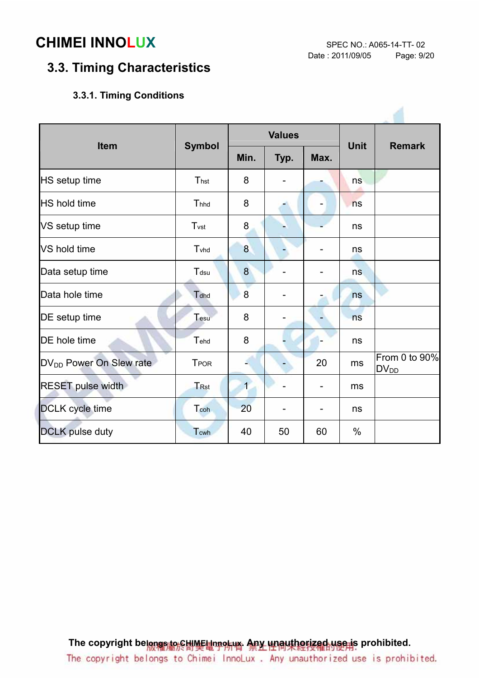### 3.3. Timing Characteristics

#### 3.3.1. Timing Conditions

| <b>Item</b>                         |                  |                | <b>Values</b> |                              | <b>Unit</b> | <b>Remark</b>              |  |
|-------------------------------------|------------------|----------------|---------------|------------------------------|-------------|----------------------------|--|
|                                     | <b>Symbol</b>    | Min.           | Typ.          | Max.                         |             |                            |  |
| HS setup time                       | Thst             | 8              |               |                              | ns          |                            |  |
| <b>HS</b> hold time                 | Thhd             | 8              |               | $\qquad \qquad \blacksquare$ | ns          |                            |  |
| VS setup time                       | T <sub>vst</sub> | 8              |               |                              | ns          |                            |  |
| VS hold time                        | Tyhd             | 8              |               |                              | ns          |                            |  |
| Data setup time                     | Tdsu             | 8              |               |                              | ns          |                            |  |
| Data hole time                      | Tdhd             | 8              |               |                              | ns          |                            |  |
| DE setup time                       | Tesu             | 8              |               |                              | ns          |                            |  |
| DE hole time                        | Tehd             | 8              |               |                              | ns          |                            |  |
| DV <sub>DD</sub> Power On Slew rate | <b>TPOR</b>      |                |               | 20                           | ms          | From 0 to 90%<br>$DV_{DD}$ |  |
| <b>RESET pulse width</b>            | TRst             | $\overline{1}$ |               | $\qquad \qquad \blacksquare$ | ms          |                            |  |
| DCLK cycle time                     | Tcoh             | 20             |               |                              | ns          |                            |  |
| <b>DCLK</b> pulse duty              | Tcwh             | 40             | 50            | 60                           | $\%$        |                            |  |

The copyright belongs to CHIME InnoLux. Any unauthorized use is prohibited. The copyright belongs to Chimei InnoLux. Any unauthorized use is prohibited.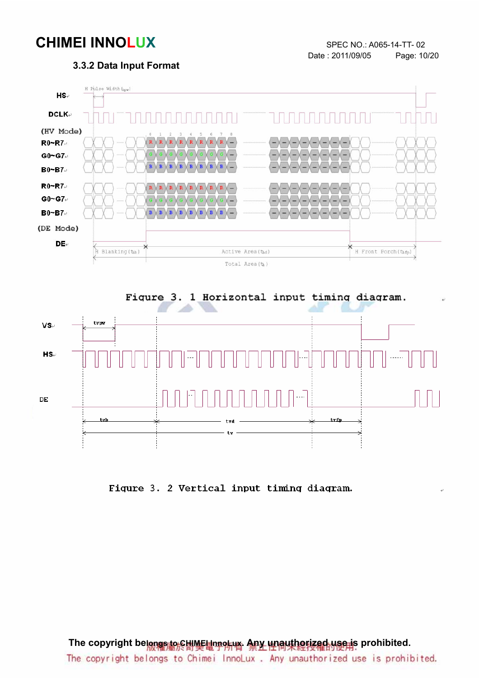#### 3.3.2 Data Input Format





Figure 3. 2 Vertical input timing diagram.

The copyright belongs to CHIMEI InnoLux. Any unauthorized use is prohibited. The copyright belongs to Chimei InnoLux. Any unauthorized use is prohibited.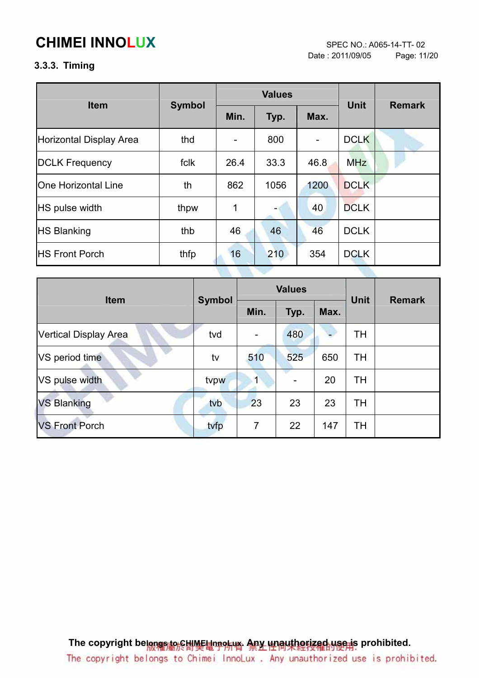Date : 2011/09/05 Page: 11/20

#### 3.3.3. Timing

| <b>Item</b>                |               |      | <b>Values</b> | <b>Unit</b> | <b>Remark</b> |  |
|----------------------------|---------------|------|---------------|-------------|---------------|--|
|                            | <b>Symbol</b> | Min. | Typ.          | Max.        |               |  |
| Horizontal Display Area    | thd           |      | 800           | ۰           | <b>DCLK</b>   |  |
| <b>DCLK Frequency</b>      | fclk          | 26.4 | 33.3          | 46.8        | <b>MHz</b>    |  |
| <b>One Horizontal Line</b> | th            | 862  | 1056          | 1200        | <b>DCLK</b>   |  |
| <b>HS</b> pulse width      | thpw          | 1    |               | 40          | <b>DCLK</b>   |  |
| <b>HS Blanking</b>         | thb           | 46   | 46            | 46          | <b>DCLK</b>   |  |
| <b>IHS Front Porch</b>     | thfp          | 16   | 210           | 354         | <b>DCLK</b>   |  |
|                            |               |      |               |             |               |  |

| <b>Item</b>           | <b>Symbol</b> |                | <b>Values</b> | <b>Unit</b> | <b>Remark</b> |  |
|-----------------------|---------------|----------------|---------------|-------------|---------------|--|
|                       |               | Min.           | Typ.          | Max.        |               |  |
| Vertical Display Area | tvd           |                | 480           |             | <b>TH</b>     |  |
| VS period time        | tv            | 510            | 525           | 650         | <b>TH</b>     |  |
| VS pulse width        | tvpw          | 1              |               | 20          | <b>TH</b>     |  |
| <b>VS Blanking</b>    | tvb           | 23             | 23            | 23          | <b>TH</b>     |  |
| <b>VS Front Porch</b> | tvfp          | $\overline{7}$ | 22            | 147         | TH            |  |

The copyright belongs to CHIME Unnor APY WALLACTIZED upon prohibited. The copyright belongs to Chimei InnoLux. Any unauthorized use is prohibited.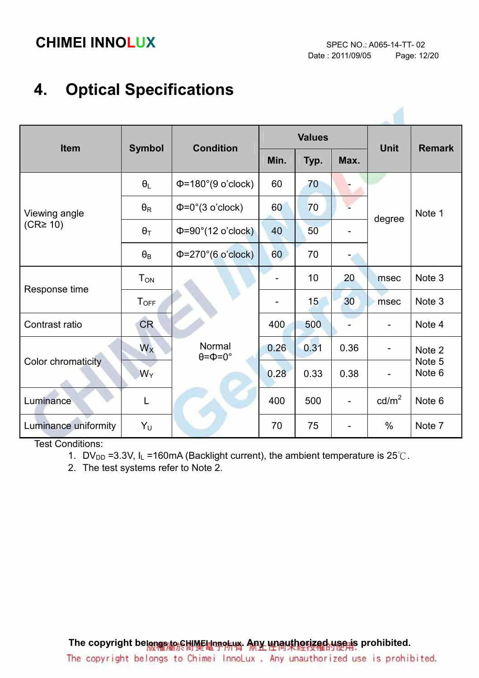# 4. Optical Specifications

| <b>Item</b>                    | <b>Symbol</b>         | <b>Condition</b>                       |      | <b>Values</b> |      | <b>Unit</b>              | <b>Remark</b>     |
|--------------------------------|-----------------------|----------------------------------------|------|---------------|------|--------------------------|-------------------|
|                                |                       |                                        | Min. | Typ.          | Max. |                          |                   |
| Viewing angle<br>$(CR\geq 10)$ | $\theta_L$            | $\Phi$ =180°(9 o'clock)                | 60   | 70            |      | degree                   | Note 1            |
|                                | $\theta_{\mathsf{R}}$ | $\Phi = 0^\circ (3 \text{ o'clock})$   | 60   | 70            |      |                          |                   |
|                                | $\theta_T$            | $\Phi = 90^\circ (12 \text{ o'clock})$ | 40   | 50            |      |                          |                   |
|                                | $\theta_B$            | $\Phi = 270^{\circ}$ (6 o'clock)       | 60   | 70            |      |                          |                   |
| Response time                  | $T_{ON}$              |                                        |      | 10            | 20   | msec                     | Note <sub>3</sub> |
|                                | $T_{OFF}$             |                                        |      | 15            | 30   | msec                     | Note 3            |
| Contrast ratio                 | CR.                   |                                        | 400  | 500           |      |                          | Note 4            |
| Color chromaticity             | $W_X$                 | Normal<br>$\theta = \Phi = 0^{\circ}$  | 0.26 | 0.31          | 0.36 | -                        | Note 2            |
|                                | $W_Y$                 |                                        | 0.28 | 0.33          | 0.38 | $\overline{\phantom{0}}$ | Note 5<br>Note 6  |
| Luminance                      | L                     |                                        | 400  | 500           |      | $\text{cd/m}^2$          | Note 6            |
| Luminance uniformity           | Y <sub>U</sub>        |                                        | 70   | 75            |      | $\%$                     | Note 7            |

Test Conditions:

1. DV<sub>DD</sub> =3.3V, I<sub>L</sub> =160mA (Backlight current), the ambient temperature is  $25^{\circ}$ C.

2. The test systems refer to Note 2.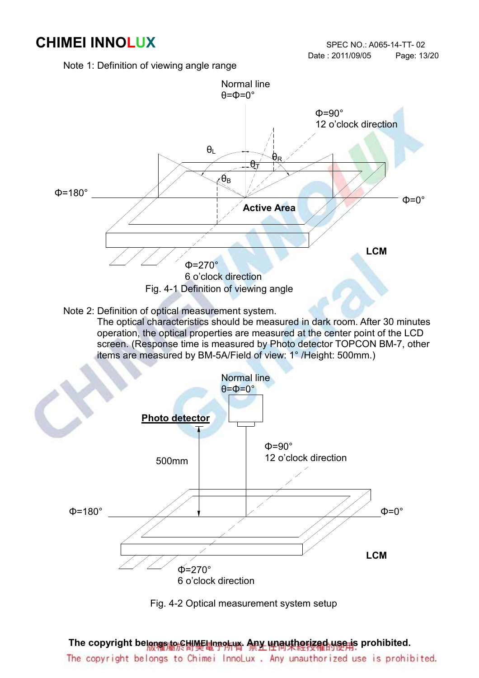Note 1: Definition of viewing angle range





The copyright belongs to CHIMEI InnoLux. Any unauthorized use is prohibited. The copyright belongs to Chimei InnoLux. Any unauthorized use is prohibited.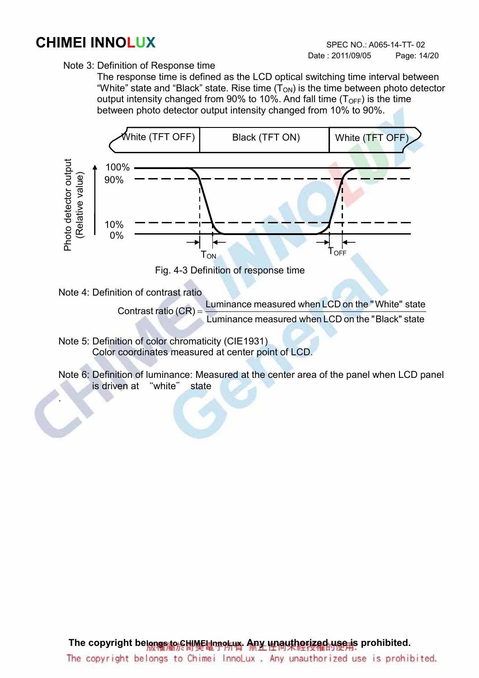Note 3: Definition of Response time

 The response time is defined as the LCD optical switching time interval between "White" state and "Black" state. Rise time  $(T_{ON})$  is the time between photo detector output intensity changed from 90% to 10%. And fall time  $(T<sub>OFF</sub>)$  is the time between photo detector output intensity changed from 10% to 90%.



Note 4: Definition of contrast ratio

.

Contrast ratio (CR) = <u>Luminance measured when LCD</u> on the "Black" state Luminance measured when LCD on the "White" state

Note 5: Definition of color chromaticity (CIE1931) Color coordinates measured at center point of LCD.

Note 6: Definition of luminance: Measured at the center area of the panel when LCD panel is driven at "white" state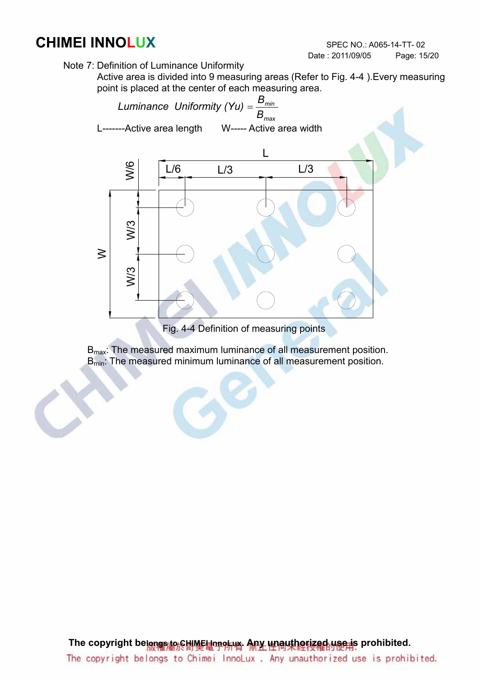Note 7: Definition of Luminance Uniformity

Active area is divided into 9 measuring areas (Refer to Fig. 4-4 ).Every measuring point is placed at the center of each measuring area.



Fig. 4-4 Definition of measuring points

B<sub>max</sub>: The measured maximum luminance of all measurement position.  $B_{\text{min}}$ : The measured minimum luminance of all measurement position.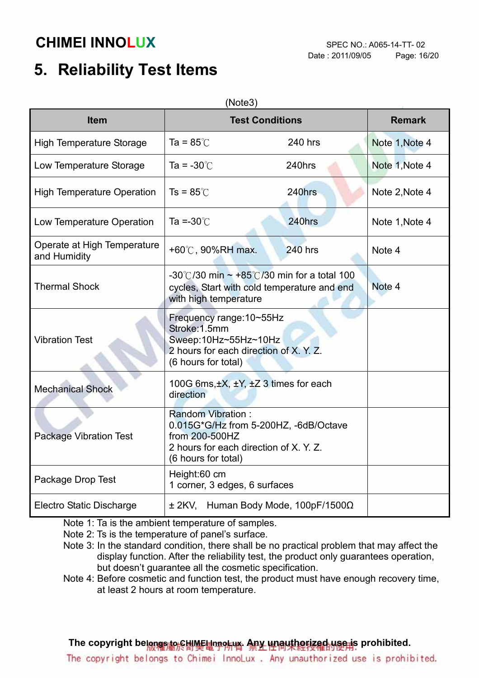# 5. Reliability Test Items

| (Note3)                                     |                                                                                                                                                      |                |                |  |  |  |  |
|---------------------------------------------|------------------------------------------------------------------------------------------------------------------------------------------------------|----------------|----------------|--|--|--|--|
| <b>Item</b>                                 | <b>Test Conditions</b>                                                                                                                               | <b>Remark</b>  |                |  |  |  |  |
| <b>High Temperature Storage</b>             | Ta = $85^\circ$ C                                                                                                                                    | 240 hrs        | Note 1, Note 4 |  |  |  |  |
| Low Temperature Storage                     | Ta = $-30^{\circ}$ C                                                                                                                                 | 240hrs         | Note 1, Note 4 |  |  |  |  |
| <b>High Temperature Operation</b>           | $Ts = 85^{\circ}$                                                                                                                                    | 240hrs         | Note 2, Note 4 |  |  |  |  |
| Low Temperature Operation                   | Ta =- $30^{\circ}$ C                                                                                                                                 | 240hrs         | Note 1, Note 4 |  |  |  |  |
| Operate at High Temperature<br>and Humidity | +60°C, 90%RH max.                                                                                                                                    | <b>240 hrs</b> | Note 4         |  |  |  |  |
| <b>Thermal Shock</b>                        | -30°C/30 min $\sim$ +85°C/30 min for a total 100<br>cycles, Start with cold temperature and end<br>with high temperature                             | Note 4         |                |  |  |  |  |
| <b>Vibration Test</b>                       | Frequency range: 10~55Hz<br>Stroke: 1.5mm<br>Sweep:10Hz~55Hz~10Hz<br>2 hours for each direction of X, Y, Z.<br>(6 hours for total)                   |                |                |  |  |  |  |
| <b>Mechanical Shock</b>                     | 100G 6ms, ±X, ±Y, ±Z 3 times for each<br>direction                                                                                                   |                |                |  |  |  |  |
| <b>Package Vibration Test</b>               | <b>Random Vibration:</b><br>0.015G*G/Hz from 5-200HZ, -6dB/Octave<br>from 200-500HZ<br>2 hours for each direction of X. Y. Z.<br>(6 hours for total) |                |                |  |  |  |  |
| Package Drop Test                           | Height:60 cm<br>1 corner, 3 edges, 6 surfaces                                                                                                        |                |                |  |  |  |  |
| <b>Electro Static Discharge</b>             | ± 2KV, Human Body Mode, 100pF/1500Ω                                                                                                                  |                |                |  |  |  |  |

Note 1: Ta is the ambient temperature of samples.

Note 2: Ts is the temperature of panel's surface.

 Note 3: In the standard condition, there shall be no practical problem that may affect the display function. After the reliability test, the product only guarantees operation, but doesn't guarantee all the cosmetic specification.

Note 4: Before cosmetic and function test, the product must have enough recovery time, at least 2 hours at room temperature.

The copyright belongs to CHIME InnoLux. Any unauthorized use is prohibited.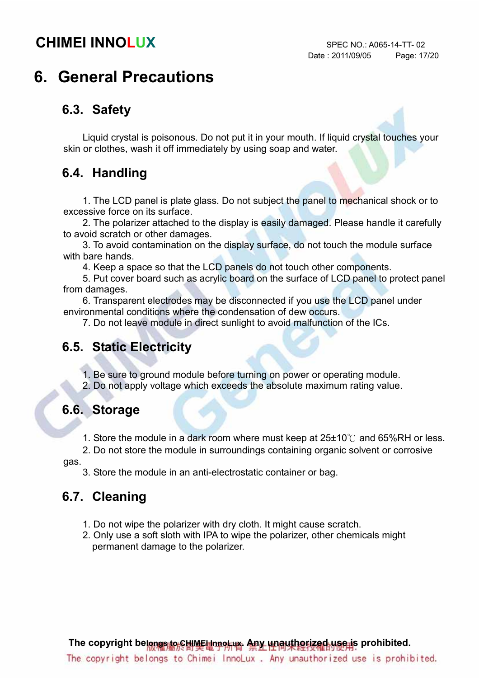# 6. General Precautions

### 6.3. Safety

Liquid crystal is poisonous. Do not put it in your mouth. If liquid crystal touches your skin or clothes, wash it off immediately by using soap and water.

#### 6.4. Handling

1. The LCD panel is plate glass. Do not subject the panel to mechanical shock or to excessive force on its surface.

2. The polarizer attached to the display is easily damaged. Please handle it carefully to avoid scratch or other damages.

3. To avoid contamination on the display surface, do not touch the module surface with bare hands.

4. Keep a space so that the LCD panels do not touch other components.

5. Put cover board such as acrylic board on the surface of LCD panel to protect panel from damages.

6. Transparent electrodes may be disconnected if you use the LCD panel under environmental conditions where the condensation of dew occurs.

7. Do not leave module in direct sunlight to avoid malfunction of the ICs.

### 6.5. Static Electricity

1. Be sure to ground module before turning on power or operating module.

2. Do not apply voltage which exceeds the absolute maximum rating value.

#### 6.6. Storage

1. Store the module in a dark room where must keep at  $25\pm10^{\circ}$  and  $65\%$ RH or less.

2. Do not store the module in surroundings containing organic solvent or corrosive

gas.

3. Store the module in an anti-electrostatic container or bag.

### 6.7. Cleaning

- 1. Do not wipe the polarizer with dry cloth. It might cause scratch.
- 2. Only use a soft sloth with IPA to wipe the polarizer, other chemicals might permanent damage to the polarizer.

The copyright belongs to CHIMEI InnoLux. Any unauthorized use is prohibited.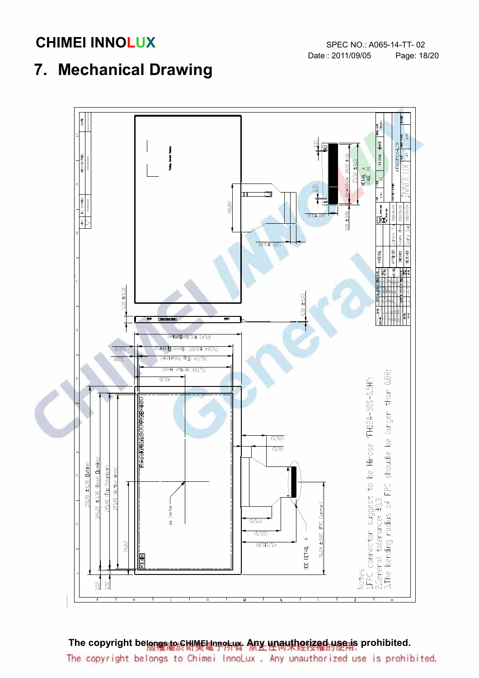# 7. Mechanical Drawing



The copyright belongs to CHIMEI InnoLux. Any unauthorized use is prohibited. The copyright belongs to Chimei InnoLux. Any unauthorized use is prohibited.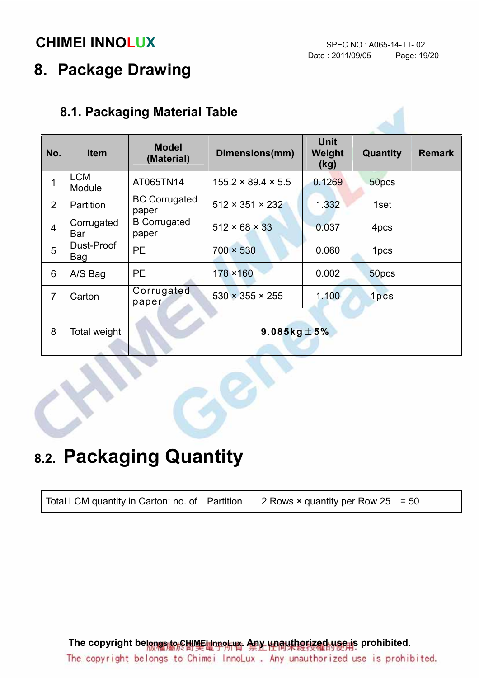# 8. Package Drawing

### 8.1. Packaging Material Table

| No.            | <b>Item</b>          | <b>Model</b><br>(Material)    | Dimensions(mm)                 | <b>Unit</b><br>Weight<br>(kg) | Quantity         | <b>Remark</b> |
|----------------|----------------------|-------------------------------|--------------------------------|-------------------------------|------------------|---------------|
| 1              | <b>LCM</b><br>Module | AT065TN14                     | $155.2 \times 89.4 \times 5.5$ | 0.1269                        | 50pcs            |               |
| $\overline{2}$ | Partition            | <b>BC Corrugated</b><br>paper | $512 \times 351 \times 232$    | 1.332                         | 1set             |               |
| $\overline{4}$ | Corrugated<br>Bar    | <b>B</b> Corrugated<br>paper  | $512 \times 68 \times 33$      | 0.037                         | 4pcs             |               |
| 5              | Dust-Proof<br>Bag    | <b>PE</b>                     | $700 \times 530$               | 0.060                         | 1 <sub>pcs</sub> |               |
| 6              | A/S Bag              | <b>PE</b>                     | 178 × 160                      | 0.002                         | 50pcs            |               |
| $\overline{7}$ | Carton               | Corrugated<br>paper           | $530 \times 355 \times 255$    | 1.100                         | 1pcs             |               |
| 8              | Total weight         |                               | 9.085 $kg \pm 5%$              |                               |                  |               |

# 8.2. Packaging Quantity

Total LCM quantity in Carton: no. of Partition 2 Rows  $\times$  quantity per Row 25 = 50